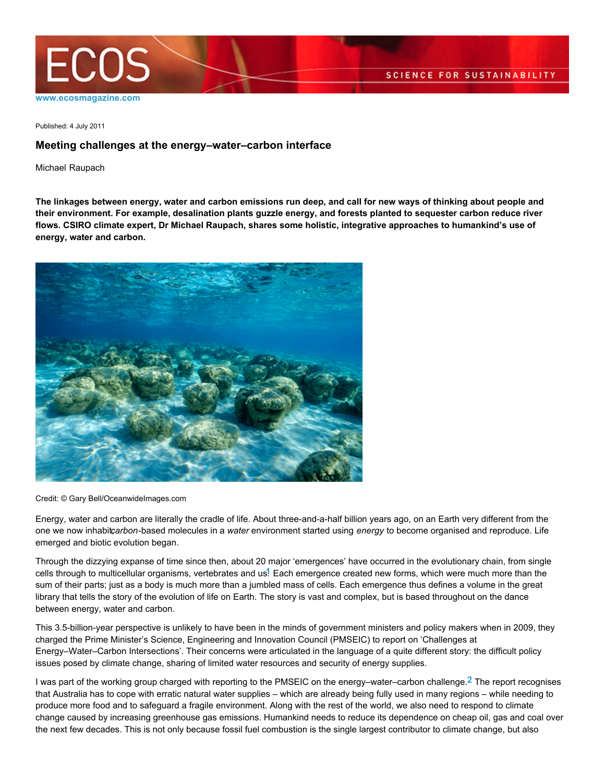

Published: 4 July 2011

## **Meeting challenges at the energy–water–carbon interface**

Michael Raupach

**The linkages between energy, water and carbon emissions run deep, and call for new ways of thinking about people and their environment. For example, desalination plants guzzle energy, and forests planted to sequester carbon reduce river flows. CSIRO climate expert, Dr Michael Raupach, shares some holistic, integrative approaches to humankind's use of energy, water and carbon.**



Credit: © Gary Bell/OceanwideImages.com

Energy, water and carbon are literally the cradle of life. About three-and-a-half billion years ago, on an Earth very different from the one we now inhabitcarbon-based molecules in a water environment started using energy to become organised and reproduce. Life emerged and biotic evolution began.

Through the dizzying expanse of time since then, about 20 major 'emergences' have occurred in the evolutionary chain, from single cells through to multicellular organisms, vertebrates and us.**1** Each emergence created new forms, which were much more than the sum of their parts; just as a body is much more than a jumbled mass of cells. Each emergence thus defines a volume in the great library that tells the story of the evolution of life on Earth. The story is vast and complex, but is based throughout on the dance between energy, water and carbon.

This 3.5-billion-year perspective is unlikely to have been in the minds of government ministers and policy makers when in 2009, they charged the Prime Minister's Science, Engineering and Innovation Council (PMSEIC) to report on 'Challenges at Energy–Water–Carbon Intersections'. Their concerns were articulated in the language of a quite different story: the difficult policy issues posed by climate change, sharing of limited water resources and security of energy supplies.

I was part of the working group charged with reporting to the PMSEIC on the energy–water–carbon challenge.**2** The report recognises that Australia has to cope with erratic natural water supplies – which are already being fully used in many regions – while needing to produce more food and to safeguard a fragile environment. Along with the rest of the world, we also need to respond to climate change caused by increasing greenhouse gas emissions. Humankind needs to reduce its dependence on cheap oil, gas and coal over the next few decades. This is not only because fossil fuel combustion is the single largest contributor to climate change, but also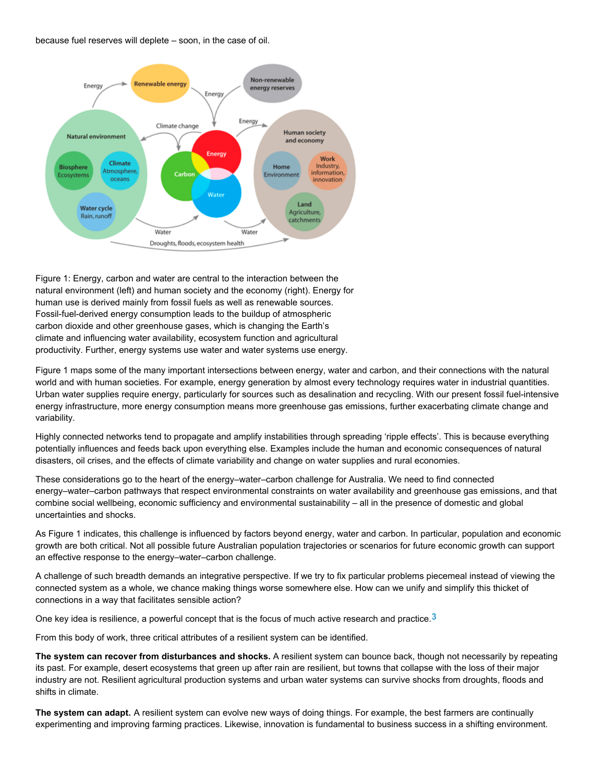because fuel reserves will deplete – soon, in the case of oil.



Figure 1: Energy, carbon and water are central to the interaction between the natural environment (left) and human society and the economy (right). Energy for human use is derived mainly from fossil fuels as well as renewable sources. Fossil-fuel-derived energy consumption leads to the buildup of atmospheric carbon dioxide and other greenhouse gases, which is changing the Earth's climate and influencing water availability, ecosystem function and agricultural productivity. Further, energy systems use water and water systems use energy.

Figure 1 maps some of the many important intersections between energy, water and carbon, and their connections with the natural world and with human societies. For example, energy generation by almost every technology requires water in industrial quantities. Urban water supplies require energy, particularly for sources such as desalination and recycling. With our present fossil fuel-intensive energy infrastructure, more energy consumption means more greenhouse gas emissions, further exacerbating climate change and variability.

Highly connected networks tend to propagate and amplify instabilities through spreading 'ripple effects'. This is because everything potentially influences and feeds back upon everything else. Examples include the human and economic consequences of natural disasters, oil crises, and the effects of climate variability and change on water supplies and rural economies.

These considerations go to the heart of the energy–water–carbon challenge for Australia. We need to find connected energy–water–carbon pathways that respect environmental constraints on water availability and greenhouse gas emissions, and that combine social wellbeing, economic sufficiency and environmental sustainability – all in the presence of domestic and global uncertainties and shocks.

As Figure 1 indicates, this challenge is influenced by factors beyond energy, water and carbon. In particular, population and economic growth are both critical. Not all possible future Australian population trajectories or scenarios for future economic growth can support an effective response to the energy–water–carbon challenge.

A challenge of such breadth demands an integrative perspective. If we try to fix particular problems piecemeal instead of viewing the connected system as a whole, we chance making things worse somewhere else. How can we unify and simplify this thicket of connections in a way that facilitates sensible action?

One key idea is resilience, a powerful concept that is the focus of much active research and practice.**3**

From this body of work, three critical attributes of a resilient system can be identified.

**The system can recover from disturbances and shocks.** A resilient system can bounce back, though not necessarily by repeating its past. For example, desert ecosystems that green up after rain are resilient, but towns that collapse with the loss of their major industry are not. Resilient agricultural production systems and urban water systems can survive shocks from droughts, floods and shifts in climate.

**The system can adapt.** A resilient system can evolve new ways of doing things. For example, the best farmers are continually experimenting and improving farming practices. Likewise, innovation is fundamental to business success in a shifting environment.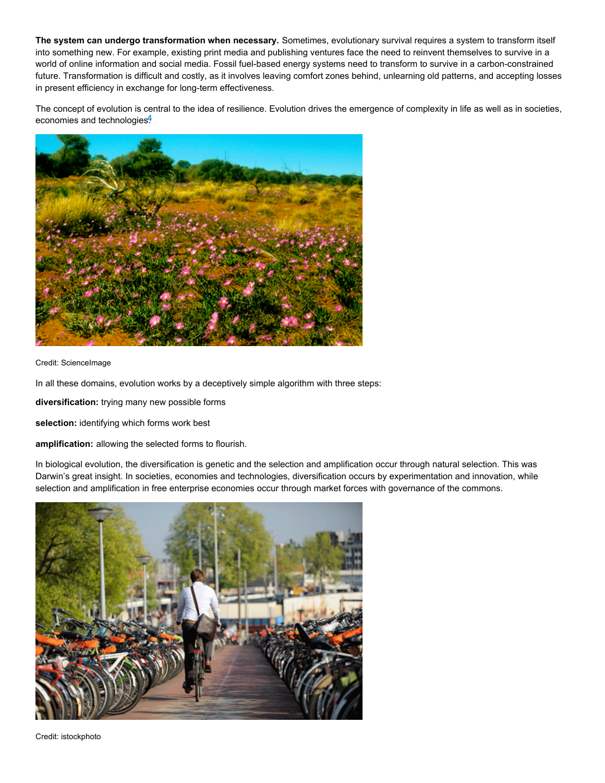**The system can undergo transformation when necessary.** Sometimes, evolutionary survival requires a system to transform itself into something new. For example, existing print media and publishing ventures face the need to reinvent themselves to survive in a world of online information and social media. Fossil fuel-based energy systems need to transform to survive in a carbon-constrained future. Transformation is difficult and costly, as it involves leaving comfort zones behind, unlearning old patterns, and accepting losses in present efficiency in exchange for long-term effectiveness.

The concept of evolution is central to the idea of resilience. Evolution drives the emergence of complexity in life as well as in societies, economies and technologies.**4**



Credit: ScienceImage

In all these domains, evolution works by a deceptively simple algorithm with three steps:

diversification: trying many new possible forms

selection: identifying which forms work best

amplification: allowing the selected forms to flourish.

In biological evolution, the diversification is genetic and the selection and amplification occur through natural selection. This was Darwin's great insight. In societies, economies and technologies, diversification occurs by experimentation and innovation, while selection and amplification in free enterprise economies occur through market forces with governance of the commons.



Credit: istockphoto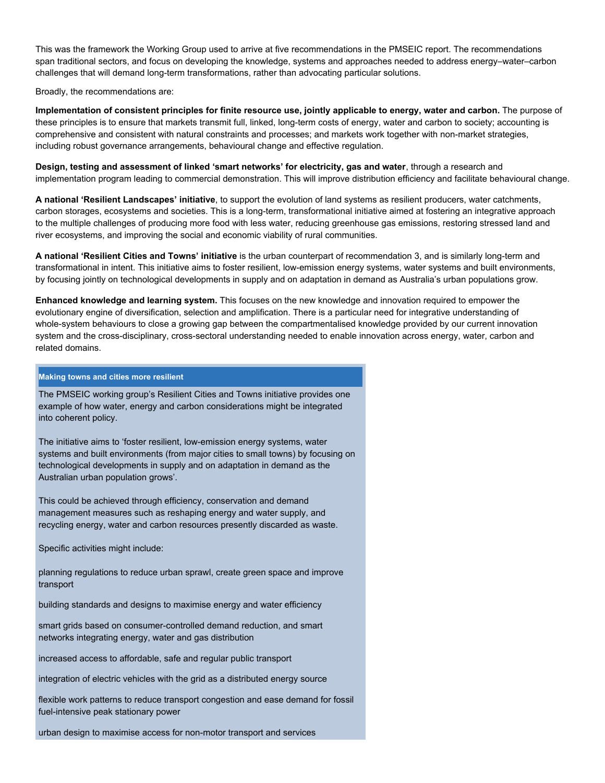This was the framework the Working Group used to arrive at five recommendations in the PMSEIC report. The recommendations span traditional sectors, and focus on developing the knowledge, systems and approaches needed to address energy–water–carbon challenges that will demand long-term transformations, rather than advocating particular solutions.

Broadly, the recommendations are:

**Implementation of consistent principles for finite resource use, jointly applicable to energy, water and carbon.** The purpose of these principles is to ensure that markets transmit full, linked, long-term costs of energy, water and carbon to society; accounting is comprehensive and consistent with natural constraints and processes; and markets work together with non-market strategies, including robust governance arrangements, behavioural change and effective regulation.

**Design, testing and assessment of linked 'smart networks' for electricity, gas and water**, through a research and implementation program leading to commercial demonstration. This will improve distribution efficiency and facilitate behavioural change.

**A national 'Resilient Landscapes' initiative**, to support the evolution of land systems as resilient producers, water catchments, carbon storages, ecosystems and societies. This is a long-term, transformational initiative aimed at fostering an integrative approach to the multiple challenges of producing more food with less water, reducing greenhouse gas emissions, restoring stressed land and river ecosystems, and improving the social and economic viability of rural communities.

**A national 'Resilient Cities and Towns' initiative** is the urban counterpart of recommendation 3, and is similarly long-term and transformational in intent. This initiative aims to foster resilient, low-emission energy systems, water systems and built environments, by focusing jointly on technological developments in supply and on adaptation in demand as Australia's urban populations grow.

**Enhanced knowledge and learning system.** This focuses on the new knowledge and innovation required to empower the evolutionary engine of diversification, selection and amplification. There is a particular need for integrative understanding of whole-system behaviours to close a growing gap between the compartmentalised knowledge provided by our current innovation system and the cross-disciplinary, cross-sectoral understanding needed to enable innovation across energy, water, carbon and related domains.

## **Making towns and cities more resilient**

The PMSEIC working group's Resilient Cities and Towns initiative provides one example of how water, energy and carbon considerations might be integrated into coherent policy.

The initiative aims to 'foster resilient, low-emission energy systems, water systems and built environments (from major cities to small towns) by focusing on technological developments in supply and on adaptation in demand as the Australian urban population grows'.

This could be achieved through efficiency, conservation and demand management measures such as reshaping energy and water supply, and recycling energy, water and carbon resources presently discarded as waste.

Specific activities might include:

planning regulations to reduce urban sprawl, create green space and improve transport

building standards and designs to maximise energy and water efficiency

smart grids based on consumer-controlled demand reduction, and smart networks integrating energy, water and gas distribution

increased access to affordable, safe and regular public transport

integration of electric vehicles with the grid as a distributed energy source

flexible work patterns to reduce transport congestion and ease demand for fossil fuel-intensive peak stationary power

urban design to maximise access for non-motor transport and services